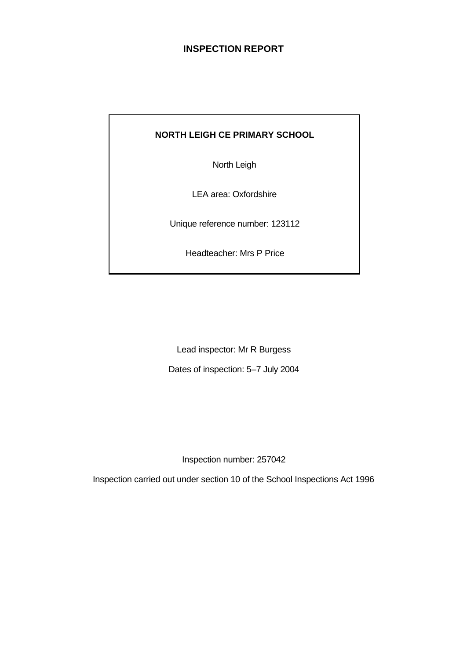# **INSPECTION REPORT**

# **NORTH LEIGH CE PRIMARY SCHOOL**

North Leigh

LEA area: Oxfordshire

Unique reference number: 123112

Headteacher: Mrs P Price

Lead inspector: Mr R Burgess

Dates of inspection: 5–7 July 2004

Inspection number: 257042

Inspection carried out under section 10 of the School Inspections Act 1996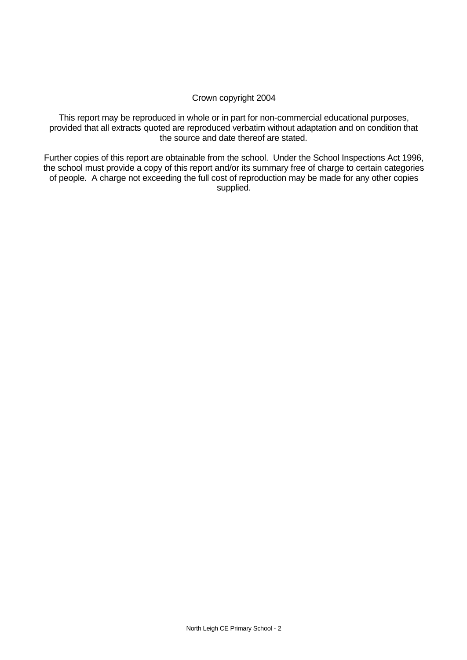#### Crown copyright 2004

This report may be reproduced in whole or in part for non-commercial educational purposes, provided that all extracts quoted are reproduced verbatim without adaptation and on condition that the source and date thereof are stated.

Further copies of this report are obtainable from the school. Under the School Inspections Act 1996, the school must provide a copy of this report and/or its summary free of charge to certain categories of people. A charge not exceeding the full cost of reproduction may be made for any other copies supplied.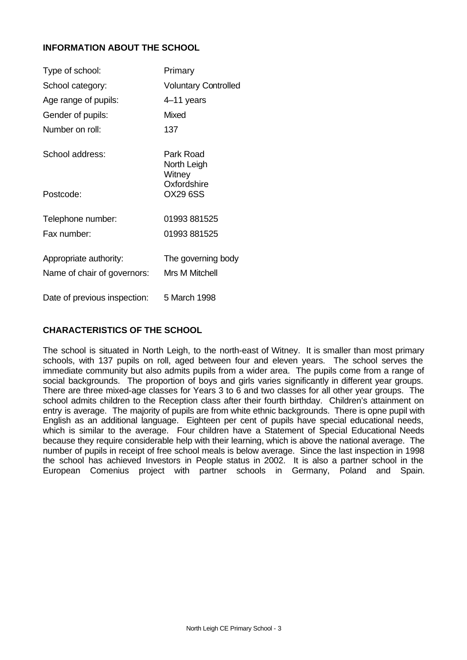# **INFORMATION ABOUT THE SCHOOL**

| Type of school:                                       | Primary                                     |
|-------------------------------------------------------|---------------------------------------------|
| School category:                                      | <b>Voluntary Controlled</b>                 |
| Age range of pupils:                                  | 4–11 years                                  |
| Gender of pupils:                                     | Mixed                                       |
| Number on roll:                                       | 137                                         |
| School address:                                       | Park Road<br>North Leigh<br>Witney          |
| Postcode:                                             | Oxfordshire<br><b>OX29 6SS</b>              |
| Telephone number:                                     | 01993 881525                                |
| Fax number:                                           | 01993 881525                                |
| Appropriate authority:<br>Name of chair of governors: | The governing body<br><b>Mrs M Mitchell</b> |
| Date of previous inspection:                          | 5 March 1998                                |

# **CHARACTERISTICS OF THE SCHOOL**

The school is situated in North Leigh, to the north-east of Witney. It is smaller than most primary schools, with 137 pupils on roll, aged between four and eleven years. The school serves the immediate community but also admits pupils from a wider area. The pupils come from a range of social backgrounds. The proportion of boys and girls varies significantly in different year groups. There are three mixed-age classes for Years 3 to 6 and two classes for all other year groups. The school admits children to the Reception class after their fourth birthday. Children's attainment on entry is average. The majority of pupils are from white ethnic backgrounds. There is opne pupil with English as an additional language. Eighteen per cent of pupils have special educational needs, which is similar to the average. Four children have a Statement of Special Educational Needs because they require considerable help with their learning, which is above the national average. The number of pupils in receipt of free school meals is below average. Since the last inspection in 1998 the school has achieved Investors in People status in 2002. It is also a partner school in the European Comenius project with partner schools in Germany, Poland and Spain.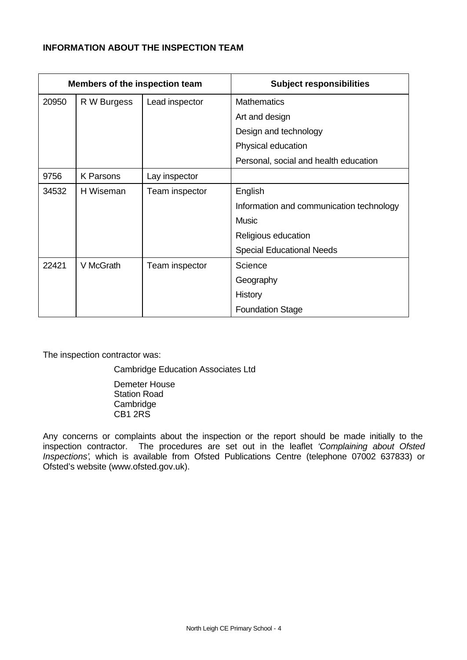# **INFORMATION ABOUT THE INSPECTION TEAM**

|       | Members of the inspection team |                | <b>Subject responsibilities</b>          |
|-------|--------------------------------|----------------|------------------------------------------|
| 20950 | R W Burgess                    | Lead inspector | <b>Mathematics</b>                       |
|       |                                |                | Art and design                           |
|       |                                |                | Design and technology                    |
|       |                                |                | Physical education                       |
|       |                                |                | Personal, social and health education    |
| 9756  | <b>K</b> Parsons               | Lay inspector  |                                          |
| 34532 | H Wiseman                      | Team inspector | English                                  |
|       |                                |                | Information and communication technology |
|       |                                |                | <b>Music</b>                             |
|       |                                |                | Religious education                      |
|       |                                |                | <b>Special Educational Needs</b>         |
| 22421 | V McGrath                      | Team inspector | Science                                  |
|       |                                |                | Geography                                |
|       |                                |                | History                                  |
|       |                                |                | <b>Foundation Stage</b>                  |

The inspection contractor was:

Cambridge Education Associates Ltd

Demeter House Station Road **Cambridge** CB1 2RS

Any concerns or complaints about the inspection or the report should be made initially to the inspection contractor. The procedures are set out in the leaflet *'Complaining about Ofsted Inspections'*, which is available from Ofsted Publications Centre (telephone 07002 637833) or Ofsted's website (www.ofsted.gov.uk).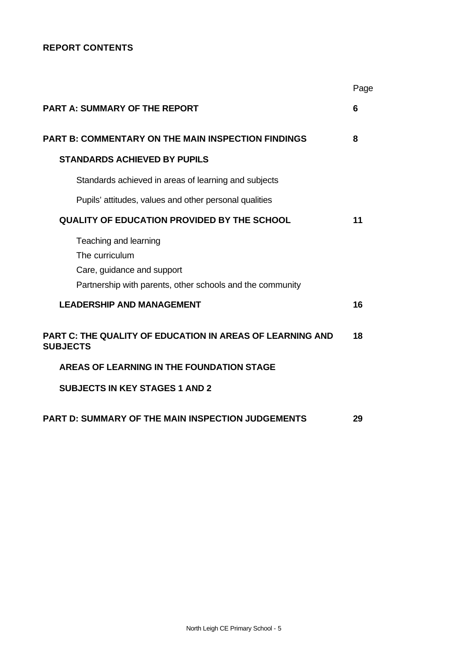# **REPORT CONTENTS**

|                                                                                                                                    | Page |
|------------------------------------------------------------------------------------------------------------------------------------|------|
| <b>PART A: SUMMARY OF THE REPORT</b>                                                                                               | 6    |
| <b>PART B: COMMENTARY ON THE MAIN INSPECTION FINDINGS</b>                                                                          | 8    |
| <b>STANDARDS ACHIEVED BY PUPILS</b>                                                                                                |      |
| Standards achieved in areas of learning and subjects                                                                               |      |
| Pupils' attitudes, values and other personal qualities                                                                             |      |
| <b>QUALITY OF EDUCATION PROVIDED BY THE SCHOOL</b>                                                                                 | 11   |
| Teaching and learning<br>The curriculum<br>Care, guidance and support<br>Partnership with parents, other schools and the community |      |
| <b>LEADERSHIP AND MANAGEMENT</b>                                                                                                   | 16   |
| <b>PART C: THE QUALITY OF EDUCATION IN AREAS OF LEARNING AND</b><br><b>SUBJECTS</b>                                                | 18   |
| AREAS OF LEARNING IN THE FOUNDATION STAGE                                                                                          |      |
| <b>SUBJECTS IN KEY STAGES 1 AND 2</b>                                                                                              |      |
| <b>PART D: SUMMARY OF THE MAIN INSPECTION JUDGEMENTS</b>                                                                           | 29   |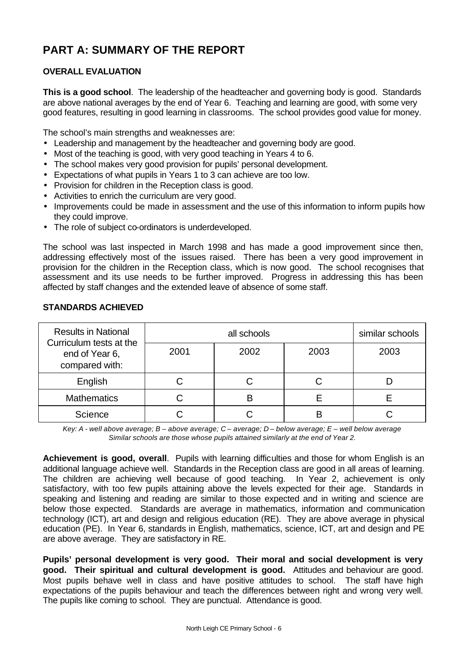# **PART A: SUMMARY OF THE REPORT**

# **OVERALL EVALUATION**

**This is a good school**. The leadership of the headteacher and governing body is good. Standards are above national averages by the end of Year 6. Teaching and learning are good, with some very good features, resulting in good learning in classrooms. The school provides good value for money.

The school's main strengths and weaknesses are:

- Leadership and management by the headteacher and governing body are good.
- Most of the teaching is good, with very good teaching in Years 4 to 6.
- The school makes very good provision for pupils' personal development.
- Expectations of what pupils in Years 1 to 3 can achieve are too low.
- Provision for children in the Reception class is good.
- Activities to enrich the curriculum are very good.
- Improvements could be made in assessment and the use of this information to inform pupils how they could improve.
- The role of subject co-ordinators is underdeveloped.

The school was last inspected in March 1998 and has made a good improvement since then, addressing effectively most of the issues raised. There has been a very good improvement in provision for the children in the Reception class, which is now good. The school recognises that assessment and its use needs to be further improved. Progress in addressing this has been affected by staff changes and the extended leave of absence of some staff.

| <b>Results in National</b><br>Curriculum tests at the |      | similar schools |      |      |
|-------------------------------------------------------|------|-----------------|------|------|
| end of Year 6,<br>compared with:                      | 2001 | 2002            | 2003 | 2003 |
| English                                               |      |                 |      |      |
| <b>Mathematics</b>                                    |      |                 |      |      |
| Science                                               |      |                 | B    |      |

# **STANDARDS ACHIEVED**

*Key: A - well above average; B – above average; C – average; D – below average; E – well below average Similar schools are those whose pupils attained similarly at the end of Year 2.*

**Achievement is good, overall**. Pupils with learning difficulties and those for whom English is an additional language achieve well. Standards in the Reception class are good in all areas of learning. The children are achieving well because of good teaching. In Year 2, achievement is only satisfactory, with too few pupils attaining above the levels expected for their age. Standards in speaking and listening and reading are similar to those expected and in writing and science are below those expected. Standards are average in mathematics, information and communication technology (ICT), art and design and religious education (RE). They are above average in physical education (PE). In Year 6, standards in English, mathematics, science, ICT, art and design and PE are above average. They are satisfactory in RE.

**Pupils' personal development is very good. Their moral and social development is very good. Their spiritual and cultural development is good.** Attitudes and behaviour are good. Most pupils behave well in class and have positive attitudes to school. The staff have high expectations of the pupils behaviour and teach the differences between right and wrong very well. The pupils like coming to school. They are punctual. Attendance is good.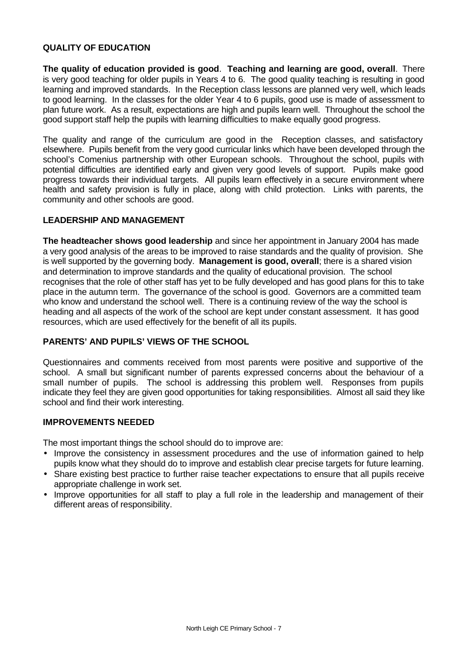#### **QUALITY OF EDUCATION**

**The quality of education provided is good**. **Teaching and learning are good, overall**. There is very good teaching for older pupils in Years 4 to 6. The good quality teaching is resulting in good learning and improved standards. In the Reception class lessons are planned very well, which leads to good learning. In the classes for the older Year 4 to 6 pupils, good use is made of assessment to plan future work. As a result, expectations are high and pupils learn well. Throughout the school the good support staff help the pupils with learning difficulties to make equally good progress.

The quality and range of the curriculum are good in the Reception classes, and satisfactory elsewhere. Pupils benefit from the very good curricular links which have been developed through the school's Comenius partnership with other European schools. Throughout the school, pupils with potential difficulties are identified early and given very good levels of support. Pupils make good progress towards their individual targets. All pupils learn effectively in a secure environment where health and safety provision is fully in place, along with child protection. Links with parents, the community and other schools are good.

#### **LEADERSHIP AND MANAGEMENT**

**The headteacher shows good leadership** and since her appointment in January 2004 has made a very good analysis of the areas to be improved to raise standards and the quality of provision. She is well supported by the governing body. **Management is good, overall**; there is a shared vision and determination to improve standards and the quality of educational provision. The school recognises that the role of other staff has yet to be fully developed and has good plans for this to take place in the autumn term. The governance of the school is good. Governors are a committed team who know and understand the school well. There is a continuing review of the way the school is heading and all aspects of the work of the school are kept under constant assessment. It has good resources, which are used effectively for the benefit of all its pupils.

#### **PARENTS' AND PUPILS' VIEWS OF THE SCHOOL**

Questionnaires and comments received from most parents were positive and supportive of the school. A small but significant number of parents expressed concerns about the behaviour of a small number of pupils. The school is addressing this problem well. Responses from pupils indicate they feel they are given good opportunities for taking responsibilities. Almost all said they like school and find their work interesting.

#### **IMPROVEMENTS NEEDED**

The most important things the school should do to improve are:

- Improve the consistency in assessment procedures and the use of information gained to help pupils know what they should do to improve and establish clear precise targets for future learning.
- Share existing best practice to further raise teacher expectations to ensure that all pupils receive appropriate challenge in work set.
- Improve opportunities for all staff to play a full role in the leadership and management of their different areas of responsibility.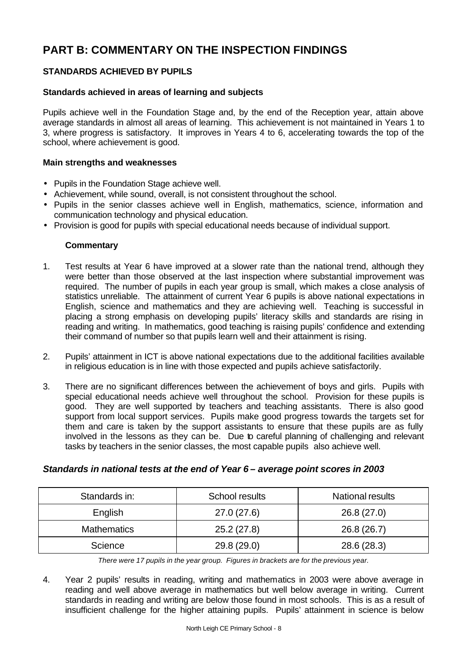# **PART B: COMMENTARY ON THE INSPECTION FINDINGS**

# **STANDARDS ACHIEVED BY PUPILS**

## **Standards achieved in areas of learning and subjects**

Pupils achieve well in the Foundation Stage and, by the end of the Reception year, attain above average standards in almost all areas of learning. This achievement is not maintained in Years 1 to 3, where progress is satisfactory. It improves in Years 4 to 6, accelerating towards the top of the school, where achievement is good.

#### **Main strengths and weaknesses**

- Pupils in the Foundation Stage achieve well.
- Achievement, while sound, overall, is not consistent throughout the school.
- Pupils in the senior classes achieve well in English, mathematics, science, information and communication technology and physical education.
- Provision is good for pupils with special educational needs because of individual support.

#### **Commentary**

- 1. Test results at Year 6 have improved at a slower rate than the national trend, although they were better than those observed at the last inspection where substantial improvement was required. The number of pupils in each year group is small, which makes a close analysis of statistics unreliable. The attainment of current Year 6 pupils is above national expectations in English, science and mathematics and they are achieving well. Teaching is successful in placing a strong emphasis on developing pupils' literacy skills and standards are rising in reading and writing. In mathematics, good teaching is raising pupils' confidence and extending their command of number so that pupils learn well and their attainment is rising.
- 2. Pupils' attainment in ICT is above national expectations due to the additional facilities available in religious education is in line with those expected and pupils achieve satisfactorily.
- 3. There are no significant differences between the achievement of boys and girls. Pupils with special educational needs achieve well throughout the school. Provision for these pupils is good. They are well supported by teachers and teaching assistants. There is also good support from local support services. Pupils make good progress towards the targets set for them and care is taken by the support assistants to ensure that these pupils are as fully involved in the lessons as they can be. Due to careful planning of challenging and relevant tasks by teachers in the senior classes, the most capable pupils also achieve well.

#### *Standards in national tests at the end of Year 6 – average point scores in 2003*

| Standards in:      | School results | <b>National results</b> |
|--------------------|----------------|-------------------------|
| English            | 27.0 (27.6)    | 26.8(27.0)              |
| <b>Mathematics</b> | 25.2(27.8)     | 26.8 (26.7)             |
| Science            | 29.8 (29.0)    | 28.6 (28.3)             |

*There were 17 pupils in the year group. Figures in brackets are for the previous year.*

4. Year 2 pupils' results in reading, writing and mathematics in 2003 were above average in reading and well above average in mathematics but well below average in writing. Current standards in reading and writing are below those found in most schools. This is as a result of insufficient challenge for the higher attaining pupils. Pupils' attainment in science is below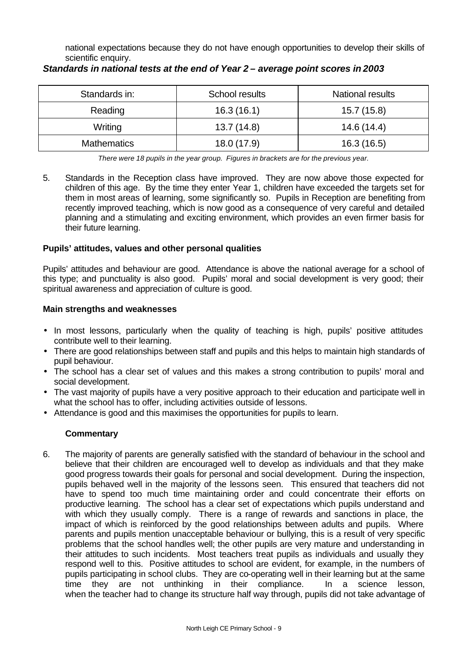national expectations because they do not have enough opportunities to develop their skills of scientific enquiry.

| Standards in:      | School results | <b>National results</b> |
|--------------------|----------------|-------------------------|
| Reading            | 16.3(16.1)     | 15.7(15.8)              |
| Writing            | 13.7(14.8)     | 14.6 (14.4)             |
| <b>Mathematics</b> | 18.0 (17.9)    | 16.3(16.5)              |

# *Standards in national tests at the end of Year 2 – average point scores in 2003*

*There were 18 pupils in the year group. Figures in brackets are for the previous year.*

5. Standards in the Reception class have improved. They are now above those expected for children of this age. By the time they enter Year 1, children have exceeded the targets set for them in most areas of learning, some significantly so. Pupils in Reception are benefiting from recently improved teaching, which is now good as a consequence of very careful and detailed planning and a stimulating and exciting environment, which provides an even firmer basis for their future learning.

# **Pupils' attitudes, values and other personal qualities**

Pupils' attitudes and behaviour are good. Attendance is above the national average for a school of this type; and punctuality is also good. Pupils' moral and social development is very good; their spiritual awareness and appreciation of culture is good.

# **Main strengths and weaknesses**

- In most lessons, particularly when the quality of teaching is high, pupils' positive attitudes contribute well to their learning.
- There are good relationships between staff and pupils and this helps to maintain high standards of pupil behaviour.
- The school has a clear set of values and this makes a strong contribution to pupils' moral and social development.
- The vast majority of pupils have a very positive approach to their education and participate well in what the school has to offer, including activities outside of lessons.
- Attendance is good and this maximises the opportunities for pupils to learn.

# **Commentary**

6. The majority of parents are generally satisfied with the standard of behaviour in the school and believe that their children are encouraged well to develop as individuals and that they make good progress towards their goals for personal and social development. During the inspection, pupils behaved well in the majority of the lessons seen. This ensured that teachers did not have to spend too much time maintaining order and could concentrate their efforts on productive learning. The school has a clear set of expectations which pupils understand and with which they usually comply. There is a range of rewards and sanctions in place, the impact of which is reinforced by the good relationships between adults and pupils. Where parents and pupils mention unacceptable behaviour or bullying, this is a result of very specific problems that the school handles well; the other pupils are very mature and understanding in their attitudes to such incidents. Most teachers treat pupils as individuals and usually they respond well to this. Positive attitudes to school are evident, for example, in the numbers of pupils participating in school clubs. They are co-operating well in their learning but at the same time they are not unthinking in their compliance. In a science lesson, when the teacher had to change its structure half way through, pupils did not take advantage of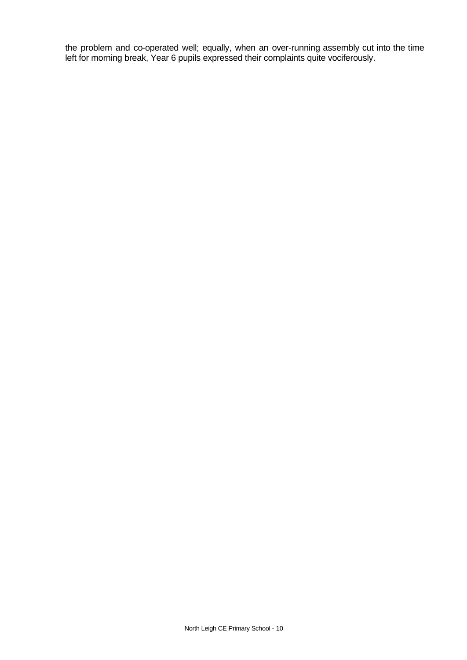the problem and co-operated well; equally, when an over-running assembly cut into the time left for morning break, Year 6 pupils expressed their complaints quite vociferously.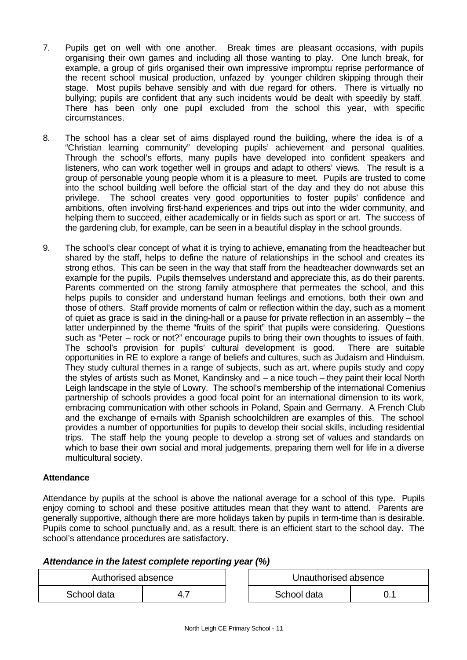- 7. Pupils get on well with one another. Break times are pleasant occasions, with pupils organising their own games and including all those wanting to play. One lunch break, for example, a group of girls organised their own impressive impromptu reprise performance of the recent school musical production, unfazed by younger children skipping through their stage. Most pupils behave sensibly and with due regard for others. There is virtually no bullying; pupils are confident that any such incidents would be dealt with speedily by staff. There has been only one pupil excluded from the school this year, with specific circumstances.
- 8. The school has a clear set of aims displayed round the building, where the idea is of a "Christian learning community" developing pupils' achievement and personal qualities. Through the school's efforts, many pupils have developed into confident speakers and listeners, who can work together well in groups and adapt to others' views. The result is a group of personable young people whom it is a pleasure to meet. Pupils are trusted to come into the school building well before the official start of the day and they do not abuse this privilege. The school creates very good opportunities to foster pupils' confidence and ambitions, often involving first-hand experiences and trips out into the wider community, and helping them to succeed, either academically or in fields such as sport or art. The success of the gardening club, for example, can be seen in a beautiful display in the school grounds.
- 9. The school's clear concept of what it is trying to achieve, emanating from the headteacher but shared by the staff, helps to define the nature of relationships in the school and creates its strong ethos. This can be seen in the way that staff from the headteacher downwards set an example for the pupils. Pupils themselves understand and appreciate this, as do their parents. Parents commented on the strong family atmosphere that permeates the school, and this helps pupils to consider and understand human feelings and emotions, both their own and those of others. Staff provide moments of calm or reflection within the day, such as a moment of quiet as grace is said in the dining-hall or a pause for private reflection in an assembly – the latter underpinned by the theme "fruits of the spirit" that pupils were considering. Questions such as "Peter – rock or not?" encourage pupils to bring their own thoughts to issues of faith. The school's provision for pupils' cultural development is good. There are suitable opportunities in RE to explore a range of beliefs and cultures, such as Judaism and Hinduism. They study cultural themes in a range of subjects, such as art, where pupils study and copy the styles of artists such as Monet, Kandinsky and – a nice touch – they paint their local North Leigh landscape in the style of Lowry. The school's membership of the international Comenius partnership of schools provides a good focal point for an international dimension to its work, embracing communication with other schools in Poland, Spain and Germany. A French Club and the exchange of e-mails with Spanish schoolchildren are examples of this. The school provides a number of opportunities for pupils to develop their social skills, including residential trips. The staff help the young people to develop a strong set of values and standards on which to base their own social and moral judgements, preparing them well for life in a diverse multicultural society.

#### **Attendance**

Attendance by pupils at the school is above the national average for a school of this type. Pupils enjoy coming to school and these positive attitudes mean that they want to attend. Parents are generally supportive, although there are more holidays taken by pupils in term-time than is desirable. Pupils come to school punctually and, as a result, there is an efficient start to the school day. The school's attendance procedures are satisfactory.

# *Attendance in the latest complete reporting year (%)*

| Authorised absence |       |  | Unauthorised absence |  |
|--------------------|-------|--|----------------------|--|
| School data        | -4. . |  | School data          |  |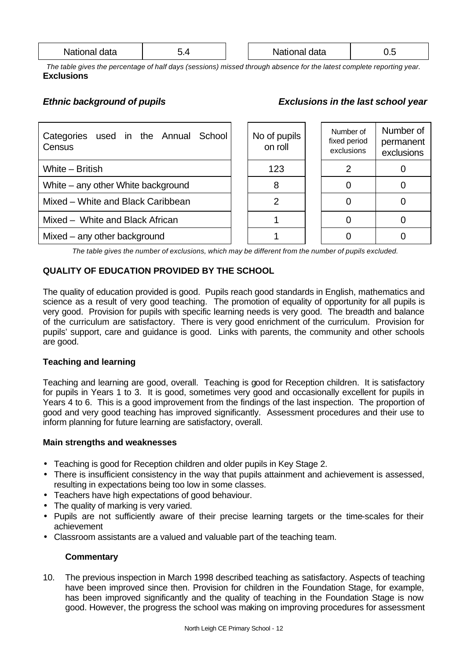| National<br>data | . . |  | National data | ◡.◡ |
|------------------|-----|--|---------------|-----|
|------------------|-----|--|---------------|-----|

*The table gives the percentage of half days (sessions) missed through absence for the latest complete reporting year.* **Exclusions**

# *Ethnic background of pupils Exclusions in the last school year*

| Categories used in the Annual School<br>Census |  | No of pupils<br>on roll | Number of<br>fixed period<br>exclusions | Number of<br>permanent<br>exclusions |
|------------------------------------------------|--|-------------------------|-----------------------------------------|--------------------------------------|
| White - British                                |  | 123                     |                                         |                                      |
| White – any other White background             |  |                         |                                         |                                      |
| Mixed - White and Black Caribbean              |  | 2                       |                                         |                                      |
| Mixed - White and Black African                |  |                         |                                         |                                      |
| Mixed – any other background                   |  |                         |                                         |                                      |

*The table gives the number of exclusions, which may be different from the number of pupils excluded.*

# **QUALITY OF EDUCATION PROVIDED BY THE SCHOOL**

The quality of education provided is good. Pupils reach good standards in English, mathematics and science as a result of very good teaching. The promotion of equality of opportunity for all pupils is very good. Provision for pupils with specific learning needs is very good. The breadth and balance of the curriculum are satisfactory. There is very good enrichment of the curriculum. Provision for pupils' support, care and guidance is good. Links with parents, the community and other schools are good.

#### **Teaching and learning**

Teaching and learning are good, overall. Teaching is good for Reception children. It is satisfactory for pupils in Years 1 to 3. It is good, sometimes very good and occasionally excellent for pupils in Years 4 to 6. This is a good improvement from the findings of the last inspection. The proportion of good and very good teaching has improved significantly. Assessment procedures and their use to inform planning for future learning are satisfactory, overall.

#### **Main strengths and weaknesses**

- Teaching is good for Reception children and older pupils in Key Stage 2.
- There is insufficient consistency in the way that pupils attainment and achievement is assessed, resulting in expectations being too low in some classes.
- Teachers have high expectations of good behaviour.
- The quality of marking is very varied.
- Pupils are not sufficiently aware of their precise learning targets or the time-scales for their achievement
- Classroom assistants are a valued and valuable part of the teaching team.

#### **Commentary**

10. The previous inspection in March 1998 described teaching as satisfactory. Aspects of teaching have been improved since then. Provision for children in the Foundation Stage, for example. has been improved significantly and the quality of teaching in the Foundation Stage is now good. However, the progress the school was making on improving procedures for assessment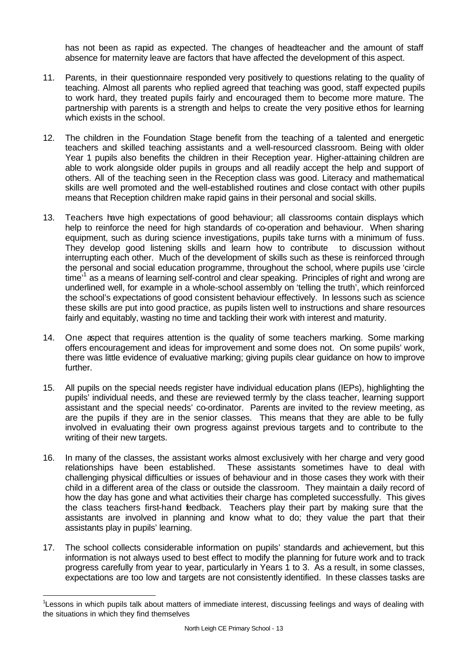has not been as rapid as expected. The changes of headteacher and the amount of staff absence for maternity leave are factors that have affected the development of this aspect.

- 11. Parents, in their questionnaire responded very positively to questions relating to the quality of teaching. Almost all parents who replied agreed that teaching was good, staff expected pupils to work hard, they treated pupils fairly and encouraged them to become more mature. The partnership with parents is a strength and helps to create the very positive ethos for learning which exists in the school.
- 12. The children in the Foundation Stage benefit from the teaching of a talented and energetic teachers and skilled teaching assistants and a well-resourced classroom. Being with older Year 1 pupils also benefits the children in their Reception year. Higher-attaining children are able to work alongside older pupils in groups and all readily accept the help and support of others. All of the teaching seen in the Reception class was good. Literacy and mathematical skills are well promoted and the well-established routines and close contact with other pupils means that Reception children make rapid gains in their personal and social skills.
- 13. Teachers have high expectations of good behaviour; all classrooms contain displays which help to reinforce the need for high standards of co-operation and behaviour. When sharing equipment, such as during science investigations, pupils take turns with a minimum of fuss. They develop good listening skills and learn how to contribute to discussion without interrupting each other. Much of the development of skills such as these is reinforced through the personal and social education programme, throughout the school, where pupils use 'circle time<sup>'1</sup> as a means of learning self-control and clear speaking. Principles of right and wrong are underlined well, for example in a whole-school assembly on 'telling the truth', which reinforced the school's expectations of good consistent behaviour effectively. In lessons such as science these skills are put into good practice, as pupils listen well to instructions and share resources fairly and equitably, wasting no time and tackling their work with interest and maturity.
- 14. One aspect that requires attention is the quality of some teachers marking. Some marking offers encouragement and ideas for improvement and some does not. On some pupils' work, there was little evidence of evaluative marking; giving pupils clear guidance on how to improve further.
- 15. All pupils on the special needs register have individual education plans (IEPs), highlighting the pupils' individual needs, and these are reviewed termly by the class teacher, learning support assistant and the special needs' co-ordinator. Parents are invited to the review meeting, as are the pupils if they are in the senior classes. This means that they are able to be fully involved in evaluating their own progress against previous targets and to contribute to the writing of their new targets.
- 16. In many of the classes, the assistant works almost exclusively with her charge and very good relationships have been established. These assistants sometimes have to deal with challenging physical difficulties or issues of behaviour and in those cases they work with their child in a different area of the class or outside the classroom. They maintain a daily record of how the day has gone and what activities their charge has completed successfully. This gives the class teachers first-hand feedback. Teachers play their part by making sure that the assistants are involved in planning and know what to do; they value the part that their assistants play in pupils' learning.
- 17. The school collects considerable information on pupils' standards and achievement, but this information is not always used to best effect to modify the planning for future work and to track progress carefully from year to year, particularly in Years 1 to 3. As a result, in some classes, expectations are too low and targets are not consistently identified. In these classes tasks are

l

<sup>&</sup>lt;sup>1</sup>Lessons in which pupils talk about matters of immediate interest, discussing feelings and ways of dealing with the situations in which they find themselves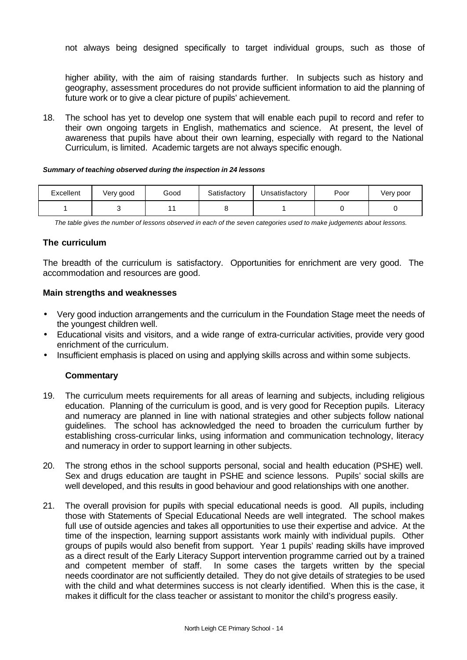not always being designed specifically to target individual groups, such as those of

higher ability, with the aim of raising standards further. In subjects such as history and geography, assessment procedures do not provide sufficient information to aid the planning of future work or to give a clear picture of pupils' achievement.

18. The school has yet to develop one system that will enable each pupil to record and refer to their own ongoing targets in English, mathematics and science. At present, the level of awareness that pupils have about their own learning, especially with regard to the National Curriculum, is limited. Academic targets are not always specific enough.

#### *Summary of teaching observed during the inspection in 24 lessons*

| Excellent | Very good | Good | Satisfactorv | Jnsatisfactory | Poor | Very poor |
|-----------|-----------|------|--------------|----------------|------|-----------|
|           |           |      |              |                |      |           |

*The table gives the number of lessons observed in each of the seven categories used to make judgements about lessons.*

#### **The curriculum**

The breadth of the curriculum is satisfactory. Opportunities for enrichment are very good. The accommodation and resources are good.

#### **Main strengths and weaknesses**

- Very good induction arrangements and the curriculum in the Foundation Stage meet the needs of the youngest children well.
- Educational visits and visitors, and a wide range of extra-curricular activities, provide very good enrichment of the curriculum.
- Insufficient emphasis is placed on using and applying skills across and within some subjects.

- 19. The curriculum meets requirements for all areas of learning and subjects, including religious education. Planning of the curriculum is good, and is very good for Reception pupils. Literacy and numeracy are planned in line with national strategies and other subjects follow national guidelines. The school has acknowledged the need to broaden the curriculum further by establishing cross-curricular links, using information and communication technology, literacy and numeracy in order to support learning in other subjects.
- 20. The strong ethos in the school supports personal, social and health education (PSHE) well. Sex and drugs education are taught in PSHE and science lessons. Pupils' social skills are well developed, and this results in good behaviour and good relationships with one another.
- 21. The overall provision for pupils with special educational needs is good. All pupils, including those with Statements of Special Educational Needs are well integrated. The school makes full use of outside agencies and takes all opportunities to use their expertise and advice. At the time of the inspection, learning support assistants work mainly with individual pupils. Other groups of pupils would also benefit from support. Year 1 pupils' reading skills have improved as a direct result of the Early Literacy Support intervention programme carried out by a trained and competent member of staff. In some cases the targets written by the special needs coordinator are not sufficiently detailed. They do not give details of strategies to be used with the child and what determines success is not clearly identified. When this is the case, it makes it difficult for the class teacher or assistant to monitor the child's progress easily.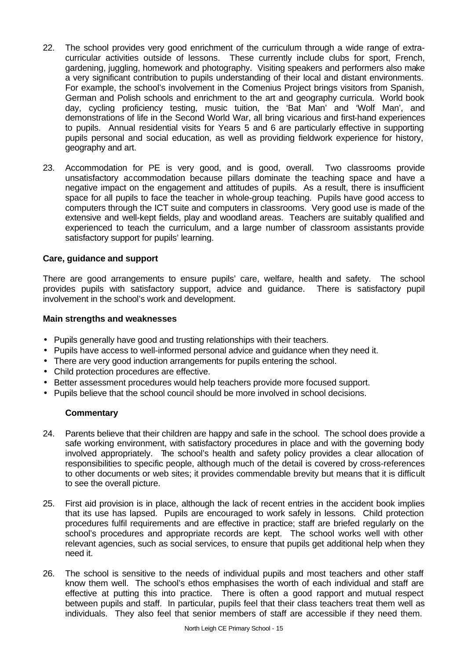- 22. The school provides very good enrichment of the curriculum through a wide range of extracurricular activities outside of lessons. These currently include clubs for sport, French, gardening, juggling, homework and photography. Visiting speakers and performers also make a very significant contribution to pupils understanding of their local and distant environments. For example, the school's involvement in the Comenius Project brings visitors from Spanish, German and Polish schools and enrichment to the art and geography curricula. World book day, cycling proficiency testing, music tuition, the 'Bat Man' and 'Wolf Man', and demonstrations of life in the Second World War, all bring vicarious and first-hand experiences to pupils. Annual residential visits for Years 5 and 6 are particularly effective in supporting pupils personal and social education, as well as providing fieldwork experience for history, geography and art.
- 23. Accommodation for PE is very good, and is good, overall. Two classrooms provide unsatisfactory accommodation because pillars dominate the teaching space and have a negative impact on the engagement and attitudes of pupils. As a result, there is insufficient space for all pupils to face the teacher in whole-group teaching. Pupils have good access to computers through the ICT suite and computers in classrooms. Very good use is made of the extensive and well-kept fields, play and woodland areas. Teachers are suitably qualified and experienced to teach the curriculum, and a large number of classroom assistants provide satisfactory support for pupils' learning.

#### **Care, guidance and support**

There are good arrangements to ensure pupils' care, welfare, health and safety. The school provides pupils with satisfactory support, advice and guidance. There is satisfactory pupil involvement in the school's work and development.

#### **Main strengths and weaknesses**

- Pupils generally have good and trusting relationships with their teachers.
- Pupils have access to well-informed personal advice and guidance when they need it.
- There are very good induction arrangements for pupils entering the school.
- Child protection procedures are effective.
- Better assessment procedures would help teachers provide more focused support.
- Pupils believe that the school council should be more involved in school decisions.

- 24. Parents believe that their children are happy and safe in the school. The school does provide a safe working environment, with satisfactory procedures in place and with the governing body involved appropriately. The school's health and safety policy provides a clear allocation of responsibilities to specific people, although much of the detail is covered by cross-references to other documents or web sites; it provides commendable brevity but means that it is difficult to see the overall picture.
- 25. First aid provision is in place, although the lack of recent entries in the accident book implies that its use has lapsed. Pupils are encouraged to work safely in lessons. Child protection procedures fulfil requirements and are effective in practice; staff are briefed regularly on the school's procedures and appropriate records are kept. The school works well with other relevant agencies, such as social services, to ensure that pupils get additional help when they need it.
- 26. The school is sensitive to the needs of individual pupils and most teachers and other staff know them well. The school's ethos emphasises the worth of each individual and staff are effective at putting this into practice. There is often a good rapport and mutual respect between pupils and staff. In particular, pupils feel that their class teachers treat them well as individuals. They also feel that senior members of staff are accessible if they need them.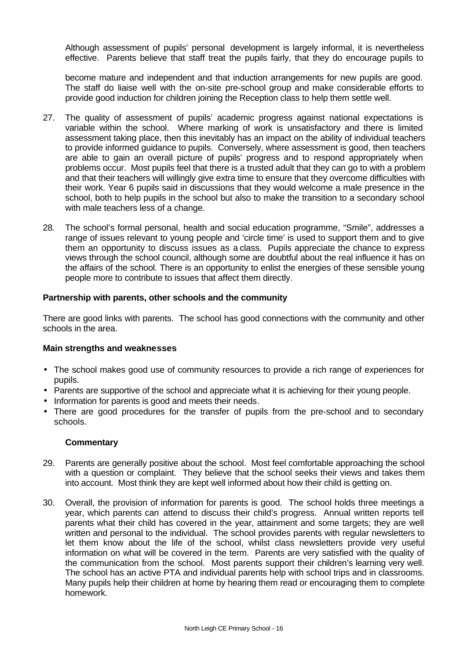Although assessment of pupils' personal development is largely informal, it is nevertheless effective. Parents believe that staff treat the pupils fairly, that they do encourage pupils to

become mature and independent and that induction arrangements for new pupils are good. The staff do liaise well with the on-site pre-school group and make considerable efforts to provide good induction for children joining the Reception class to help them settle well.

- 27. The quality of assessment of pupils' academic progress against national expectations is variable within the school. Where marking of work is unsatisfactory and there is limited assessment taking place, then this inevitably has an impact on the ability of individual teachers to provide informed guidance to pupils. Conversely, where assessment is good, then teachers are able to gain an overall picture of pupils' progress and to respond appropriately when problems occur. Most pupils feel that there is a trusted adult that they can go to with a problem and that their teachers will willingly give extra time to ensure that they overcome difficulties with their work. Year 6 pupils said in discussions that they would welcome a male presence in the school, both to help pupils in the school but also to make the transition to a secondary school with male teachers less of a change.
- 28. The school's formal personal, health and social education programme, "Smile", addresses a range of issues relevant to young people and 'circle time' is used to support them and to give them an opportunity to discuss issues as a class. Pupils appreciate the chance to express views through the school council, although some are doubtful about the real influence it has on the affairs of the school. There is an opportunity to enlist the energies of these sensible young people more to contribute to issues that affect them directly.

#### **Partnership with parents, other schools and the community**

There are good links with parents. The school has good connections with the community and other schools in the area.

#### **Main strengths and weaknesses**

- The school makes good use of community resources to provide a rich range of experiences for pupils.
- Parents are supportive of the school and appreciate what it is achieving for their young people.
- Information for parents is good and meets their needs.
- There are good procedures for the transfer of pupils from the pre-school and to secondary schools.

- 29. Parents are generally positive about the school. Most feel comfortable approaching the school with a question or complaint. They believe that the school seeks their views and takes them into account. Most think they are kept well informed about how their child is getting on.
- 30. Overall, the provision of information for parents is good. The school holds three meetings a year, which parents can attend to discuss their child's progress. Annual written reports tell parents what their child has covered in the year, attainment and some targets; they are well written and personal to the individual. The school provides parents with regular newsletters to let them know about the life of the school, whilst class newsletters provide very useful information on what will be covered in the term. Parents are very satisfied with the quality of the communication from the school. Most parents support their children's learning very well. The school has an active PTA and individual parents help with school trips and in classrooms. Many pupils help their children at home by hearing them read or encouraging them to complete homework.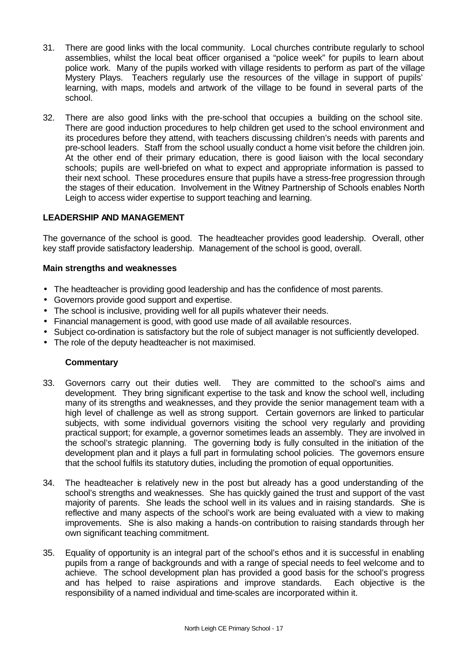- 31. There are good links with the local community. Local churches contribute regularly to school assemblies, whilst the local beat officer organised a "police week" for pupils to learn about police work. Many of the pupils worked with village residents to perform as part of the village Mystery Plays. Teachers regularly use the resources of the village in support of pupils' learning, with maps, models and artwork of the village to be found in several parts of the school.
- 32. There are also good links with the pre-school that occupies a building on the school site. There are good induction procedures to help children get used to the school environment and its procedures before they attend, with teachers discussing children's needs with parents and pre-school leaders. Staff from the school usually conduct a home visit before the children join. At the other end of their primary education, there is good liaison with the local secondary schools; pupils are well-briefed on what to expect and appropriate information is passed to their next school. These procedures ensure that pupils have a stress-free progression through the stages of their education. Involvement in the Witney Partnership of Schools enables North Leigh to access wider expertise to support teaching and learning.

#### **LEADERSHIP AND MANAGEMENT**

The governance of the school is good. The headteacher provides good leadership. Overall, other key staff provide satisfactory leadership. Management of the school is good, overall.

#### **Main strengths and weaknesses**

- The headteacher is providing good leadership and has the confidence of most parents.
- Governors provide good support and expertise.
- The school is inclusive, providing well for all pupils whatever their needs.
- Financial management is good, with good use made of all available resources.
- Subject co-ordination is satisfactory but the role of subject manager is not sufficiently developed.
- The role of the deputy headteacher is not maximised.

- 33. Governors carry out their duties well. They are committed to the school's aims and development. They bring significant expertise to the task and know the school well, including many of its strengths and weaknesses, and they provide the senior management team with a high level of challenge as well as strong support. Certain governors are linked to particular subjects, with some individual governors visiting the school very regularly and providing practical support; for example, a governor sometimes leads an assembly. They are involved in the school's strategic planning. The governing body is fully consulted in the initiation of the development plan and it plays a full part in formulating school policies. The governors ensure that the school fulfils its statutory duties, including the promotion of equal opportunities.
- 34. The headteacher is relatively new in the post but already has a good understanding of the school's strengths and weaknesses. She has quickly gained the trust and support of the vast majority of parents. She leads the school well in its values and in raising standards. She is reflective and many aspects of the school's work are being evaluated with a view to making improvements. She is also making a hands-on contribution to raising standards through her own significant teaching commitment.
- 35. Equality of opportunity is an integral part of the school's ethos and it is successful in enabling pupils from a range of backgrounds and with a range of special needs to feel welcome and to achieve. The school development plan has provided a good basis for the school's progress and has helped to raise aspirations and improve standards. Each objective is the responsibility of a named individual and time-scales are incorporated within it.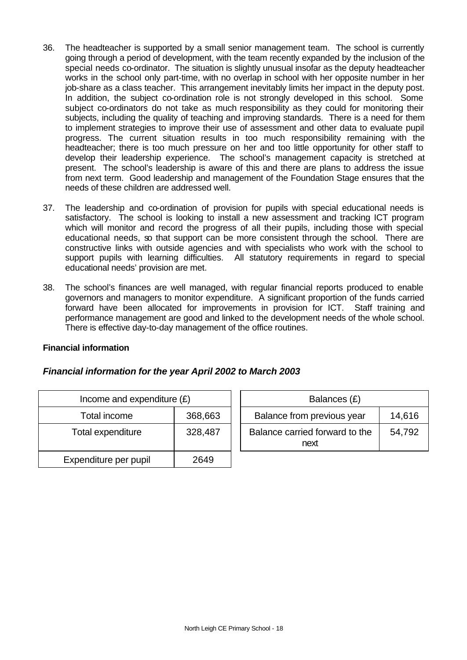- 36. The headteacher is supported by a small senior management team. The school is currently going through a period of development, with the team recently expanded by the inclusion of the special needs co-ordinator. The situation is slightly unusual insofar as the deputy headteacher works in the school only part-time, with no overlap in school with her opposite number in her job-share as a class teacher. This arrangement inevitably limits her impact in the deputy post. In addition, the subject co-ordination role is not strongly developed in this school. Some subject co-ordinators do not take as much responsibility as they could for monitoring their subjects, including the quality of teaching and improving standards. There is a need for them to implement strategies to improve their use of assessment and other data to evaluate pupil progress. The current situation results in too much responsibility remaining with the headteacher; there is too much pressure on her and too little opportunity for other staff to develop their leadership experience. The school's management capacity is stretched at present. The school's leadership is aware of this and there are plans to address the issue from next term. Good leadership and management of the Foundation Stage ensures that the needs of these children are addressed well.
- 37. The leadership and co-ordination of provision for pupils with special educational needs is satisfactory. The school is looking to install a new assessment and tracking ICT program which will monitor and record the progress of all their pupils, including those with special educational needs, so that support can be more consistent through the school. There are constructive links with outside agencies and with specialists who work with the school to support pupils with learning difficulties. All statutory requirements in regard to special educational needs' provision are met.
- 38. The school's finances are well managed, with regular financial reports produced to enable governors and managers to monitor expenditure. A significant proportion of the funds carried forward have been allocated for improvements in provision for ICT. Staff training and performance management are good and linked to the development needs of the whole school. There is effective day-to-day management of the office routines.

#### **Financial information**

#### *Financial information for the year April 2002 to March 2003*

| Income and expenditure $(E)$ |         |  | Balances (£)                           |
|------------------------------|---------|--|----------------------------------------|
| 368,663<br>Total income      |         |  | Balance from previous year             |
| Total expenditure            | 328,487 |  | Balance carried forward to the<br>next |
| Expenditure per pupil        | 2649    |  |                                        |

| Income and expenditure $(E)$ |         | Balances (£)                           |        |  |
|------------------------------|---------|----------------------------------------|--------|--|
| Total income                 | 368,663 | Balance from previous year<br>14,616   |        |  |
| tal expenditure              | 328,487 | Balance carried forward to the<br>next | 54.792 |  |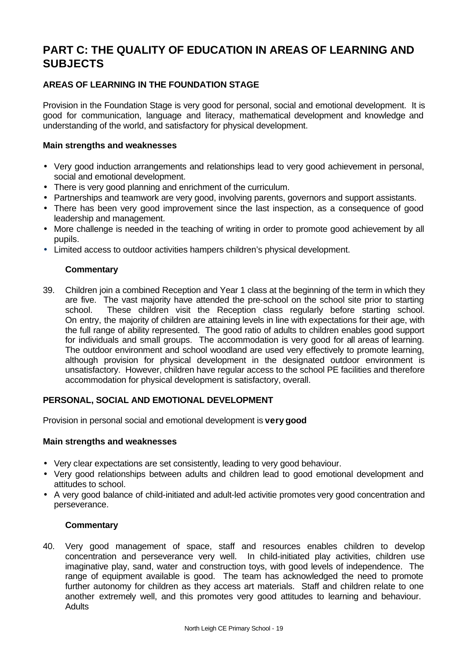# **PART C: THE QUALITY OF EDUCATION IN AREAS OF LEARNING AND SUBJECTS**

# **AREAS OF LEARNING IN THE FOUNDATION STAGE**

Provision in the Foundation Stage is very good for personal, social and emotional development. It is good for communication, language and literacy, mathematical development and knowledge and understanding of the world, and satisfactory for physical development.

## **Main strengths and weaknesses**

- Very good induction arrangements and relationships lead to very good achievement in personal, social and emotional development.
- There is very good planning and enrichment of the curriculum.
- Partnerships and teamwork are very good, involving parents, governors and support assistants.
- There has been very good improvement since the last inspection, as a consequence of good leadership and management.
- More challenge is needed in the teaching of writing in order to promote good achievement by all pupils.
- Limited access to outdoor activities hampers children's physical development.

# **Commentary**

39. Children join a combined Reception and Year 1 class at the beginning of the term in which they are five. The vast majority have attended the pre-school on the school site prior to starting school. These children visit the Reception class regularly before starting school. On entry, the majority of children are attaining levels in line with expectations for their age, with the full range of ability represented. The good ratio of adults to children enables good support for individuals and small groups. The accommodation is very good for all areas of learning. The outdoor environment and school woodland are used very effectively to promote learning, although provision for physical development in the designated outdoor environment is unsatisfactory. However, children have regular access to the school PE facilities and therefore accommodation for physical development is satisfactory, overall.

#### **PERSONAL, SOCIAL AND EMOTIONAL DEVELOPMENT**

Provision in personal social and emotional development is **very good**

#### **Main strengths and weaknesses**

- Very clear expectations are set consistently, leading to very good behaviour.
- Very good relationships between adults and children lead to good emotional development and attitudes to school.
- A very good balance of child-initiated and adult-led activitie promotes very good concentration and perseverance.

#### **Commentary**

40. Very good management of space, staff and resources enables children to develop concentration and perseverance very well. In child-initiated play activities, children use imaginative play, sand, water and construction toys, with good levels of independence. The range of equipment available is good. The team has acknowledged the need to promote further autonomy for children as they access art materials. Staff and children relate to one another extremely well, and this promotes very good attitudes to learning and behaviour. **Adults**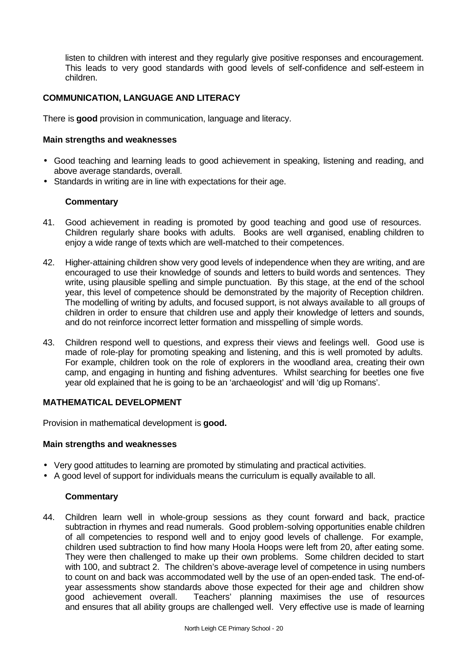listen to children with interest and they regularly give positive responses and encouragement. This leads to very good standards with good levels of self-confidence and self-esteem in children.

# **COMMUNICATION, LANGUAGE AND LITERACY**

There is **good** provision in communication, language and literacy.

#### **Main strengths and weaknesses**

- Good teaching and learning leads to good achievement in speaking, listening and reading, and above average standards, overall.
- Standards in writing are in line with expectations for their age.

#### **Commentary**

- 41. Good achievement in reading is promoted by good teaching and good use of resources. Children regularly share books with adults. Books are well organised, enabling children to enjoy a wide range of texts which are well-matched to their competences.
- 42. Higher-attaining children show very good levels of independence when they are writing, and are encouraged to use their knowledge of sounds and letters to build words and sentences. They write, using plausible spelling and simple punctuation. By this stage, at the end of the school year, this level of competence should be demonstrated by the majority of Reception children. The modelling of writing by adults, and focused support, is not always available to all groups of children in order to ensure that children use and apply their knowledge of letters and sounds, and do not reinforce incorrect letter formation and misspelling of simple words.
- 43. Children respond well to questions, and express their views and feelings well. Good use is made of role-play for promoting speaking and listening, and this is well promoted by adults. For example, children took on the role of explorers in the woodland area, creating their own camp, and engaging in hunting and fishing adventures. Whilst searching for beetles one five year old explained that he is going to be an 'archaeologist' and will 'dig up Romans'.

# **MATHEMATICAL DEVELOPMENT**

Provision in mathematical development is **good.**

#### **Main strengths and weaknesses**

- Very good attitudes to learning are promoted by stimulating and practical activities.
- A good level of support for individuals means the curriculum is equally available to all.

#### **Commentary**

44. Children learn well in whole-group sessions as they count forward and back, practice subtraction in rhymes and read numerals. Good problem-solving opportunities enable children of all competencies to respond well and to enjoy good levels of challenge. For example, children used subtraction to find how many Hoola Hoops were left from 20, after eating some. They were then challenged to make up their own problems. Some children decided to start with 100, and subtract 2. The children's above-average level of competence in using numbers to count on and back was accommodated well by the use of an open-ended task. The end-ofyear assessments show standards above those expected for their age and children show good achievement overall. Teachers' planning maximises the use of resources and ensures that all ability groups are challenged well. Very effective use is made of learning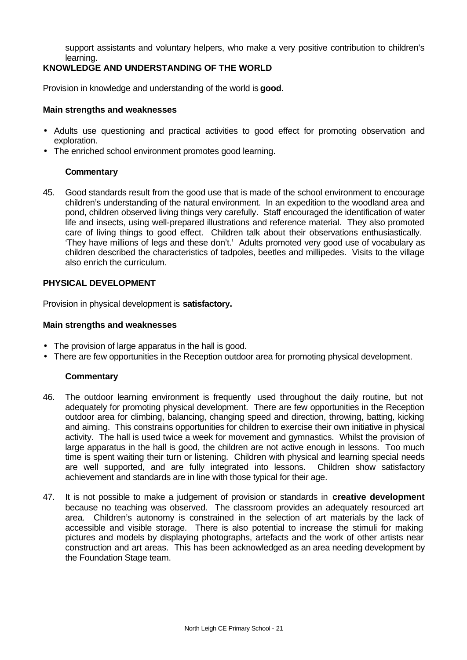support assistants and voluntary helpers, who make a very positive contribution to children's learning.

# **KNOWLEDGE AND UNDERSTANDING OF THE WORLD**

Provision in knowledge and understanding of the world is **good.**

#### **Main strengths and weaknesses**

- Adults use questioning and practical activities to good effect for promoting observation and exploration.
- The enriched school environment promotes good learning.

#### **Commentary**

45. Good standards result from the good use that is made of the school environment to encourage children's understanding of the natural environment. In an expedition to the woodland area and pond, children observed living things very carefully. Staff encouraged the identification of water life and insects, using well-prepared illustrations and reference material. They also promoted care of living things to good effect. Children talk about their observations enthusiastically. 'They have millions of legs and these don't.' Adults promoted very good use of vocabulary as children described the characteristics of tadpoles, beetles and millipedes. Visits to the village also enrich the curriculum.

#### **PHYSICAL DEVELOPMENT**

Provision in physical development is **satisfactory.**

#### **Main strengths and weaknesses**

- The provision of large apparatus in the hall is good.
- There are few opportunities in the Reception outdoor area for promoting physical development.

- 46. The outdoor learning environment is frequently used throughout the daily routine, but not adequately for promoting physical development. There are few opportunities in the Reception outdoor area for climbing, balancing, changing speed and direction, throwing, batting, kicking and aiming. This constrains opportunities for children to exercise their own initiative in physical activity. The hall is used twice a week for movement and gymnastics. Whilst the provision of large apparatus in the hall is good, the children are not active enough in lessons. Too much time is spent waiting their turn or listening. Children with physical and learning special needs are well supported, and are fully integrated into lessons. Children show satisfactory achievement and standards are in line with those typical for their age.
- 47. It is not possible to make a judgement of provision or standards in **creative development** because no teaching was observed. The classroom provides an adequately resourced art area. Children's autonomy is constrained in the selection of art materials by the lack of accessible and visible storage. There is also potential to increase the stimuli for making pictures and models by displaying photographs, artefacts and the work of other artists near construction and art areas. This has been acknowledged as an area needing development by the Foundation Stage team.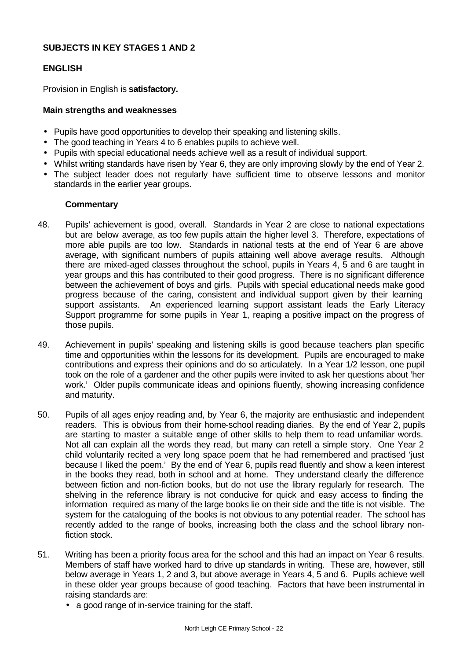#### **SUBJECTS IN KEY STAGES 1 AND 2**

#### **ENGLISH**

Provision in English is **satisfactory.**

#### **Main strengths and weaknesses**

- Pupils have good opportunities to develop their speaking and listening skills.
- The good teaching in Years 4 to 6 enables pupils to achieve well.
- Pupils with special educational needs achieve well as a result of individual support.
- Whilst writing standards have risen by Year 6, they are only improving slowly by the end of Year 2.
- The subject leader does not regularly have sufficient time to observe lessons and monitor standards in the earlier year groups.

- 48. Pupils' achievement is good, overall. Standards in Year 2 are close to national expectations but are below average, as too few pupils attain the higher level 3. Therefore, expectations of more able pupils are too low. Standards in national tests at the end of Year 6 are above average, with significant numbers of pupils attaining well above average results. Although there are mixed-aged classes throughout the school, pupils in Years 4, 5 and 6 are taught in year groups and this has contributed to their good progress. There is no significant difference between the achievement of boys and girls. Pupils with special educational needs make good progress because of the caring, consistent and individual support given by their learning support assistants. An experienced learning support assistant leads the Early Literacy Support programme for some pupils in Year 1, reaping a positive impact on the progress of those pupils.
- 49. Achievement in pupils' speaking and listening skills is good because teachers plan specific time and opportunities within the lessons for its development. Pupils are encouraged to make contributions and express their opinions and do so articulately. In a Year 1/2 lesson, one pupil took on the role of a gardener and the other pupils were invited to ask her questions about 'her work.' Older pupils communicate ideas and opinions fluently, showing increasing confidence and maturity.
- 50. Pupils of all ages enjoy reading and, by Year 6, the majority are enthusiastic and independent readers. This is obvious from their home-school reading diaries. By the end of Year 2, pupils are starting to master a suitable range of other skills to help them to read unfamiliar words. Not all can explain all the words they read, but many can retell a simple story. One Year 2 child voluntarily recited a very long space poem that he had remembered and practised 'just because I liked the poem.' By the end of Year 6, pupils read fluently and show a keen interest in the books they read, both in school and at home. They understand clearly the difference between fiction and non-fiction books, but do not use the library regularly for research. The shelving in the reference library is not conducive for quick and easy access to finding the information required as many of the large books lie on their side and the title is not visible. The system for the cataloguing of the books is not obvious to any potential reader. The school has recently added to the range of books, increasing both the class and the school library nonfiction stock.
- 51. Writing has been a priority focus area for the school and this had an impact on Year 6 results. Members of staff have worked hard to drive up standards in writing. These are, however, still below average in Years 1, 2 and 3, but above average in Years 4, 5 and 6. Pupils achieve well in these older year groups because of good teaching. Factors that have been instrumental in raising standards are:
	- a good range of in-service training for the staff.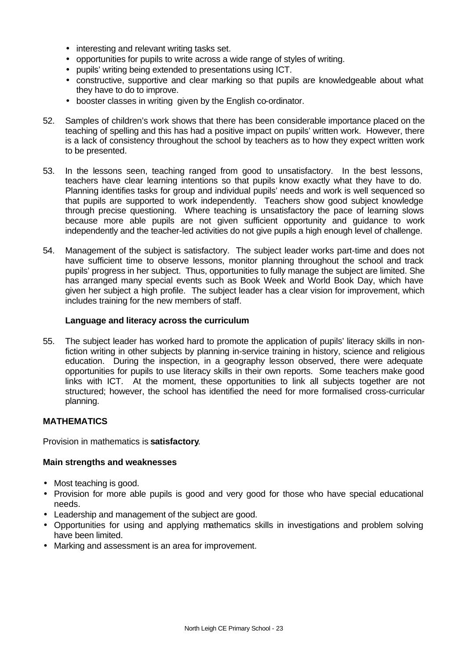- interesting and relevant writing tasks set.
- opportunities for pupils to write across a wide range of styles of writing.
- pupils' writing being extended to presentations using ICT.
- constructive, supportive and clear marking so that pupils are knowledgeable about what they have to do to improve.
- booster classes in writing given by the English co-ordinator.
- 52. Samples of children's work shows that there has been considerable importance placed on the teaching of spelling and this has had a positive impact on pupils' written work. However, there is a lack of consistency throughout the school by teachers as to how they expect written work to be presented.
- 53. In the lessons seen, teaching ranged from good to unsatisfactory. In the best lessons, teachers have clear learning intentions so that pupils know exactly what they have to do. Planning identifies tasks for group and individual pupils' needs and work is well sequenced so that pupils are supported to work independently. Teachers show good subject knowledge through precise questioning. Where teaching is unsatisfactory the pace of learning slows because more able pupils are not given sufficient opportunity and guidance to work independently and the teacher-led activities do not give pupils a high enough level of challenge.
- 54. Management of the subject is satisfactory. The subject leader works part-time and does not have sufficient time to observe lessons, monitor planning throughout the school and track pupils' progress in her subject. Thus, opportunities to fully manage the subject are limited. She has arranged many special events such as Book Week and World Book Day, which have given her subject a high profile. The subject leader has a clear vision for improvement, which includes training for the new members of staff.

#### **Language and literacy across the curriculum**

55. The subject leader has worked hard to promote the application of pupils' literacy skills in nonfiction writing in other subjects by planning in-service training in history, science and religious education. During the inspection, in a geography lesson observed, there were adequate opportunities for pupils to use literacy skills in their own reports. Some teachers make good links with ICT. At the moment, these opportunities to link all subjects together are not structured; however, the school has identified the need for more formalised cross-curricular planning.

#### **MATHEMATICS**

Provision in mathematics is **satisfactory**.

- Most teaching is good.
- Provision for more able pupils is good and very good for those who have special educational needs.
- Leadership and management of the subject are good.
- Opportunities for using and applying mathematics skills in investigations and problem solving have been limited.
- Marking and assessment is an area for improvement.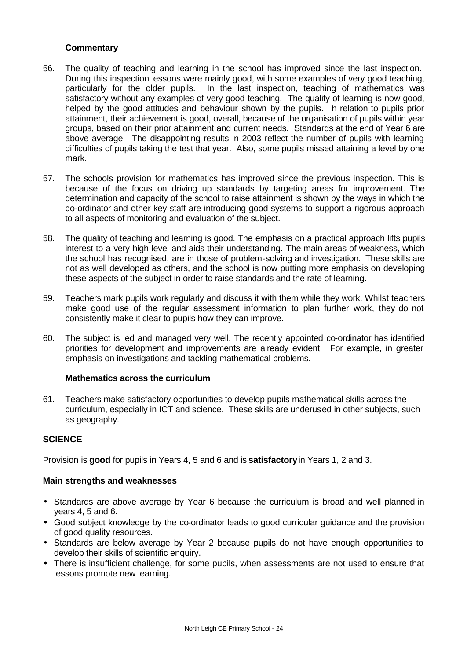- 56. The quality of teaching and learning in the school has improved since the last inspection. During this inspection lessons were mainly good, with some examples of very good teaching, particularly for the older pupils. In the last inspection, teaching of mathematics was satisfactory without any examples of very good teaching. The quality of learning is now good, helped by the good attitudes and behaviour shown by the pupils. In relation to pupils prior attainment, their achievement is good, overall, because of the organisation of pupils within year groups, based on their prior attainment and current needs. Standards at the end of Year 6 are above average. The disappointing results in 2003 reflect the number of pupils with learning difficulties of pupils taking the test that year. Also, some pupils missed attaining a level by one mark.
- 57. The schools provision for mathematics has improved since the previous inspection. This is because of the focus on driving up standards by targeting areas for improvement. The determination and capacity of the school to raise attainment is shown by the ways in which the co-ordinator and other key staff are introducing good systems to support a rigorous approach to all aspects of monitoring and evaluation of the subject.
- 58. The quality of teaching and learning is good. The emphasis on a practical approach lifts pupils interest to a very high level and aids their understanding. The main areas of weakness, which the school has recognised, are in those of problem-solving and investigation. These skills are not as well developed as others, and the school is now putting more emphasis on developing these aspects of the subject in order to raise standards and the rate of learning.
- 59. Teachers mark pupils work regularly and discuss it with them while they work. Whilst teachers make good use of the regular assessment information to plan further work, they do not consistently make it clear to pupils how they can improve.
- 60. The subject is led and managed very well. The recently appointed co-ordinator has identified priorities for development and improvements are already evident. For example, in greater emphasis on investigations and tackling mathematical problems.

#### **Mathematics across the curriculum**

61. Teachers make satisfactory opportunities to develop pupils mathematical skills across the curriculum, especially in ICT and science. These skills are underused in other subjects, such as geography.

#### **SCIENCE**

Provision is **good** for pupils in Years 4, 5 and 6 and is **satisfactory** in Years 1, 2 and 3.

- Standards are above average by Year 6 because the curriculum is broad and well planned in years 4, 5 and 6.
- Good subject knowledge by the co-ordinator leads to good curricular guidance and the provision of good quality resources.
- Standards are below average by Year 2 because pupils do not have enough opportunities to develop their skills of scientific enquiry.
- There is insufficient challenge, for some pupils, when assessments are not used to ensure that lessons promote new learning.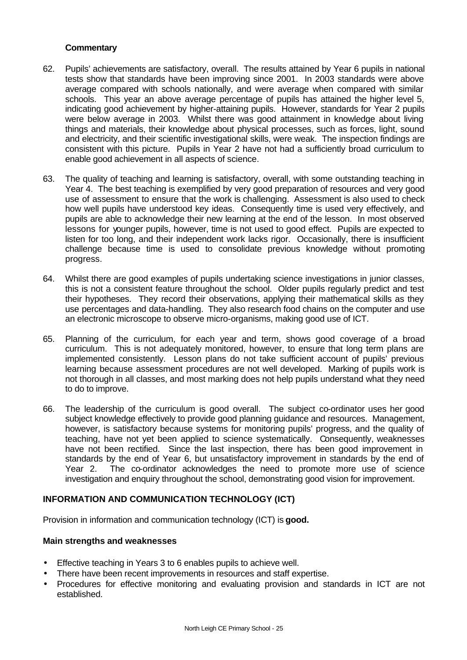- 62. Pupils' achievements are satisfactory, overall. The results attained by Year 6 pupils in national tests show that standards have been improving since 2001. In 2003 standards were above average compared with schools nationally, and were average when compared with similar schools. This year an above average percentage of pupils has attained the higher level 5, indicating good achievement by higher-attaining pupils. However, standards for Year 2 pupils were below average in 2003. Whilst there was good attainment in knowledge about living things and materials, their knowledge about physical processes, such as forces, light, sound and electricity, and their scientific investigational skills, were weak. The inspection findings are consistent with this picture. Pupils in Year 2 have not had a sufficiently broad curriculum to enable good achievement in all aspects of science.
- 63. The quality of teaching and learning is satisfactory, overall, with some outstanding teaching in Year 4. The best teaching is exemplified by very good preparation of resources and very good use of assessment to ensure that the work is challenging. Assessment is also used to check how well pupils have understood key ideas. Consequently time is used very effectively, and pupils are able to acknowledge their new learning at the end of the lesson. In most observed lessons for younger pupils, however, time is not used to good effect. Pupils are expected to listen for too long, and their independent work lacks rigor. Occasionally, there is insufficient challenge because time is used to consolidate previous knowledge without promoting progress.
- 64. Whilst there are good examples of pupils undertaking science investigations in junior classes, this is not a consistent feature throughout the school. Older pupils regularly predict and test their hypotheses. They record their observations, applying their mathematical skills as they use percentages and data-handling. They also research food chains on the computer and use an electronic microscope to observe micro-organisms, making good use of ICT.
- 65. Planning of the curriculum, for each year and term, shows good coverage of a broad curriculum. This is not adequately monitored, however, to ensure that long term plans are implemented consistently. Lesson plans do not take sufficient account of pupils' previous learning because assessment procedures are not well developed. Marking of pupils work is not thorough in all classes, and most marking does not help pupils understand what they need to do to improve.
- 66. The leadership of the curriculum is good overall. The subject co-ordinator uses her good subject knowledge effectively to provide good planning guidance and resources. Management, however, is satisfactory because systems for monitoring pupils' progress, and the quality of teaching, have not yet been applied to science systematically. Consequently, weaknesses have not been rectified. Since the last inspection, there has been good improvement in standards by the end of Year 6, but unsatisfactory improvement in standards by the end of Year 2. The co-ordinator acknowledges the need to promote more use of science investigation and enquiry throughout the school, demonstrating good vision for improvement.

#### **INFORMATION AND COMMUNICATION TECHNOLOGY (ICT)**

Provision in information and communication technology (ICT) is **good.**

- Effective teaching in Years 3 to 6 enables pupils to achieve well.
- There have been recent improvements in resources and staff expertise.
- Procedures for effective monitoring and evaluating provision and standards in ICT are not established.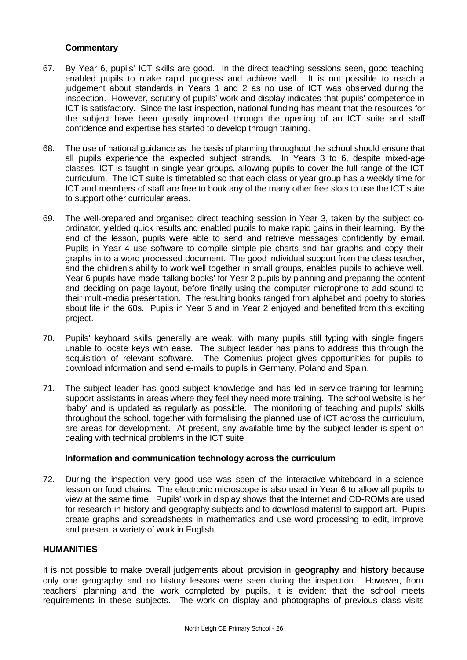- 67. By Year 6, pupils' ICT skills are good. In the direct teaching sessions seen, good teaching enabled pupils to make rapid progress and achieve well. It is not possible to reach a judgement about standards in Years 1 and 2 as no use of ICT was observed during the inspection. However, scrutiny of pupils' work and display indicates that pupils' competence in ICT is satisfactory. Since the last inspection, national funding has meant that the resources for the subject have been greatly improved through the opening of an ICT suite and staff confidence and expertise has started to develop through training.
- 68. The use of national guidance as the basis of planning throughout the school should ensure that all pupils experience the expected subject strands. In Years 3 to 6, despite mixed-age classes, ICT is taught in single year groups, allowing pupils to cover the full range of the ICT curriculum. The ICT suite is timetabled so that each class or year group has a weekly time for ICT and members of staff are free to book any of the many other free slots to use the ICT suite to support other curricular areas.
- 69. The well-prepared and organised direct teaching session in Year 3, taken by the subject coordinator, yielded quick results and enabled pupils to make rapid gains in their learning. By the end of the lesson, pupils were able to send and retrieve messages confidently by e-mail. Pupils in Year 4 use software to compile simple pie charts and bar graphs and copy their graphs in to a word processed document. The good individual support from the class teacher, and the children's ability to work well together in small groups, enables pupils to achieve well. Year 6 pupils have made 'talking books' for Year 2 pupils by planning and preparing the content and deciding on page layout, before finally using the computer microphone to add sound to their multi-media presentation. The resulting books ranged from alphabet and poetry to stories about life in the 60s. Pupils in Year 6 and in Year 2 enjoyed and benefited from this exciting project.
- 70. Pupils' keyboard skills generally are weak, with many pupils still typing with single fingers unable to locate keys with ease. The subject leader has plans to address this through the acquisition of relevant software. The Comenius project gives opportunities for pupils to download information and send e-mails to pupils in Germany, Poland and Spain.
- 71. The subject leader has good subject knowledge and has led in-service training for learning support assistants in areas where they feel they need more training. The school website is her 'baby' and is updated as regularly as possible. The monitoring of teaching and pupils' skills throughout the school, together with formalising the planned use of ICT across the curriculum, are areas for development. At present, any available time by the subject leader is spent on dealing with technical problems in the ICT suite

#### **Information and communication technology across the curriculum**

72. During the inspection very good use was seen of the interactive whiteboard in a science lesson on food chains. The electronic microscope is also used in Year 6 to allow all pupils to view at the same time. Pupils' work in display shows that the Internet and CD-ROMs are used for research in history and geography subjects and to download material to support art. Pupils create graphs and spreadsheets in mathematics and use word processing to edit, improve and present a variety of work in English.

#### **HUMANITIES**

It is not possible to make overall judgements about provision in **geography** and **history** because only one geography and no history lessons were seen during the inspection. However, from teachers' planning and the work completed by pupils, it is evident that the school meets requirements in these subjects. The work on display and photographs of previous class visits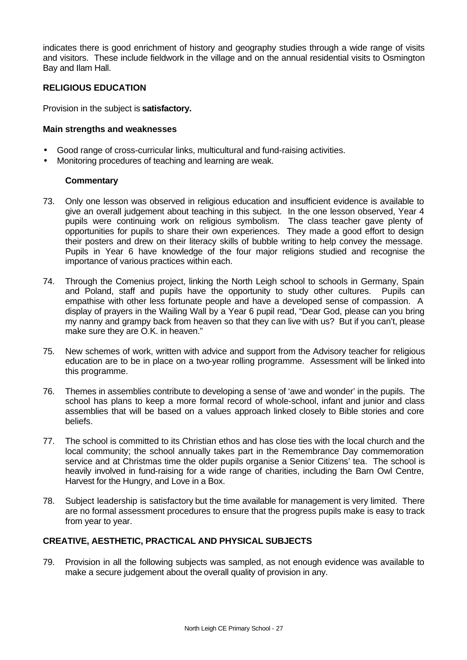indicates there is good enrichment of history and geography studies through a wide range of visits and visitors. These include fieldwork in the village and on the annual residential visits to Osmington Bay and Ilam Hall.

## **RELIGIOUS EDUCATION**

Provision in the subject is **satisfactory.**

#### **Main strengths and weaknesses**

- Good range of cross-curricular links, multicultural and fund-raising activities.
- Monitoring procedures of teaching and learning are weak.

#### **Commentary**

- 73. Only one lesson was observed in religious education and insufficient evidence is available to give an overall judgement about teaching in this subject. In the one lesson observed, Year 4 pupils were continuing work on religious symbolism. The class teacher gave plenty of opportunities for pupils to share their own experiences. They made a good effort to design their posters and drew on their literacy skills of bubble writing to help convey the message. Pupils in Year 6 have knowledge of the four major religions studied and recognise the importance of various practices within each.
- 74. Through the Comenius project, linking the North Leigh school to schools in Germany, Spain and Poland, staff and pupils have the opportunity to study other cultures. Pupils can empathise with other less fortunate people and have a developed sense of compassion. A display of prayers in the Wailing Wall by a Year 6 pupil read, "Dear God, please can you bring my nanny and grampy back from heaven so that they can live with us? But if you can't, please make sure they are O.K. in heaven."
- 75. New schemes of work, written with advice and support from the Advisory teacher for religious education are to be in place on a two-year rolling programme. Assessment will be linked into this programme.
- 76. Themes in assemblies contribute to developing a sense of 'awe and wonder' in the pupils. The school has plans to keep a more formal record of whole-school, infant and junior and class assemblies that will be based on a values approach linked closely to Bible stories and core beliefs.
- 77. The school is committed to its Christian ethos and has close ties with the local church and the local community; the school annually takes part in the Remembrance Day commemoration service and at Christmas time the older pupils organise a Senior Citizens' tea. The school is heavily involved in fund-raising for a wide range of charities, including the Barn Owl Centre, Harvest for the Hungry, and Love in a Box.
- 78. Subject leadership is satisfactory but the time available for management is very limited. There are no formal assessment procedures to ensure that the progress pupils make is easy to track from year to year.

#### **CREATIVE, AESTHETIC, PRACTICAL AND PHYSICAL SUBJECTS**

79. Provision in all the following subjects was sampled, as not enough evidence was available to make a secure judgement about the overall quality of provision in any.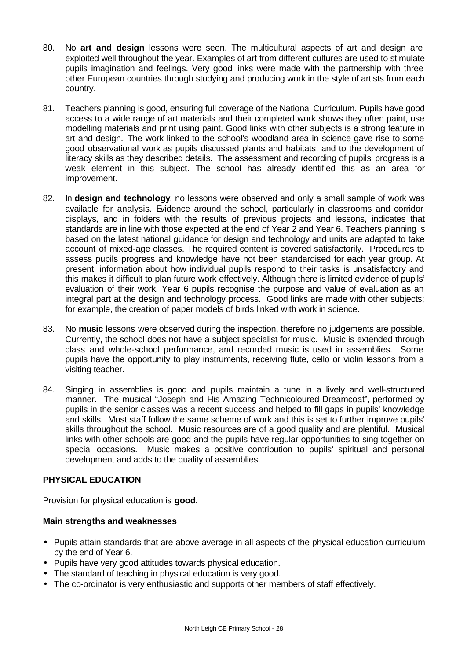- 80. No **art and design** lessons were seen. The multicultural aspects of art and design are exploited well throughout the year. Examples of art from different cultures are used to stimulate pupils imagination and feelings. Very good links were made with the partnership with three other European countries through studying and producing work in the style of artists from each country.
- 81. Teachers planning is good, ensuring full coverage of the National Curriculum. Pupils have good access to a wide range of art materials and their completed work shows they often paint, use modelling materials and print using paint. Good links with other subjects is a strong feature in art and design. The work linked to the school's woodland area in science gave rise to some good observational work as pupils discussed plants and habitats, and to the development of literacy skills as they described details. The assessment and recording of pupils' progress is a weak element in this subject. The school has already identified this as an area for improvement.
- 82. In **design and technology**, no lessons were observed and only a small sample of work was available for analysis. Evidence around the school, particularly in classrooms and corridor displays, and in folders with the results of previous projects and lessons, indicates that standards are in line with those expected at the end of Year 2 and Year 6. Teachers planning is based on the latest national guidance for design and technology and units are adapted to take account of mixed-age classes. The required content is covered satisfactorily. Procedures to assess pupils progress and knowledge have not been standardised for each year group. At present, information about how individual pupils respond to their tasks is unsatisfactory and this makes it difficult to plan future work effectively. Although there is limited evidence of pupils' evaluation of their work, Year 6 pupils recognise the purpose and value of evaluation as an integral part at the design and technology process. Good links are made with other subjects; for example, the creation of paper models of birds linked with work in science.
- 83. No **music** lessons were observed during the inspection, therefore no judgements are possible. Currently, the school does not have a subject specialist for music. Music is extended through class and whole-school performance, and recorded music is used in assemblies. Some pupils have the opportunity to play instruments, receiving flute, cello or violin lessons from a visiting teacher.
- 84. Singing in assemblies is good and pupils maintain a tune in a lively and well-structured manner. The musical "Joseph and His Amazing Technicoloured Dreamcoat", performed by pupils in the senior classes was a recent success and helped to fill gaps in pupils' knowledge and skills. Most staff follow the same scheme of work and this is set to further improve pupils' skills throughout the school. Music resources are of a good quality and are plentiful. Musical links with other schools are good and the pupils have regular opportunities to sing together on special occasions. Music makes a positive contribution to pupils' spiritual and personal development and adds to the quality of assemblies.

#### **PHYSICAL EDUCATION**

Provision for physical education is **good.** 

- Pupils attain standards that are above average in all aspects of the physical education curriculum by the end of Year 6.
- Pupils have very good attitudes towards physical education.
- The standard of teaching in physical education is very good.
- The co-ordinator is very enthusiastic and supports other members of staff effectively.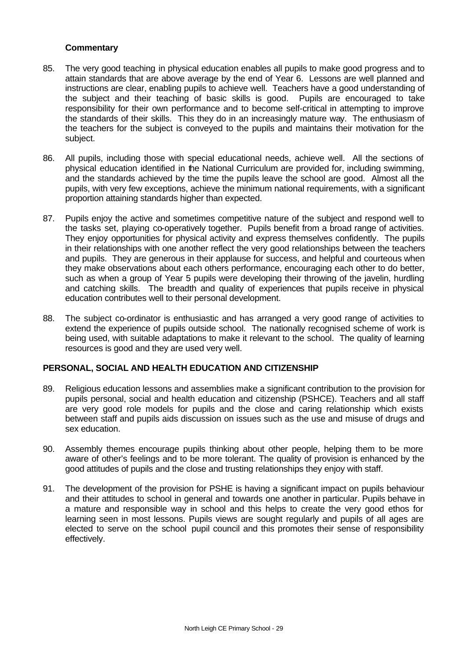- 85. The very good teaching in physical education enables all pupils to make good progress and to attain standards that are above average by the end of Year 6. Lessons are well planned and instructions are clear, enabling pupils to achieve well. Teachers have a good understanding of the subject and their teaching of basic skills is good. Pupils are encouraged to take responsibility for their own performance and to become self-critical in attempting to improve the standards of their skills. This they do in an increasingly mature way. The enthusiasm of the teachers for the subject is conveyed to the pupils and maintains their motivation for the subject.
- 86. All pupils, including those with special educational needs, achieve well. All the sections of physical education identified in the National Curriculum are provided for, including swimming, and the standards achieved by the time the pupils leave the school are good. Almost all the pupils, with very few exceptions, achieve the minimum national requirements, with a significant proportion attaining standards higher than expected.
- 87. Pupils enjoy the active and sometimes competitive nature of the subject and respond well to the tasks set, playing co-operatively together. Pupils benefit from a broad range of activities. They enjoy opportunities for physical activity and express themselves confidently. The pupils in their relationships with one another reflect the very good relationships between the teachers and pupils. They are generous in their applause for success, and helpful and courteous when they make observations about each others performance, encouraging each other to do better, such as when a group of Year 5 pupils were developing their throwing of the javelin, hurdling and catching skills. The breadth and quality of experiences that pupils receive in physical education contributes well to their personal development.
- 88. The subject co-ordinator is enthusiastic and has arranged a very good range of activities to extend the experience of pupils outside school. The nationally recognised scheme of work is being used, with suitable adaptations to make it relevant to the school. The quality of learning resources is good and they are used very well.

#### **PERSONAL, SOCIAL AND HEALTH EDUCATION AND CITIZENSHIP**

- 89. Religious education lessons and assemblies make a significant contribution to the provision for pupils personal, social and health education and citizenship (PSHCE). Teachers and all staff are very good role models for pupils and the close and caring relationship which exists between staff and pupils aids discussion on issues such as the use and misuse of drugs and sex education.
- 90. Assembly themes encourage pupils thinking about other people, helping them to be more aware of other's feelings and to be more tolerant. The quality of provision is enhanced by the good attitudes of pupils and the close and trusting relationships they enjoy with staff.
- 91. The development of the provision for PSHE is having a significant impact on pupils behaviour and their attitudes to school in general and towards one another in particular. Pupils behave in a mature and responsible way in school and this helps to create the very good ethos for learning seen in most lessons. Pupils views are sought regularly and pupils of all ages are elected to serve on the school pupil council and this promotes their sense of responsibility effectively.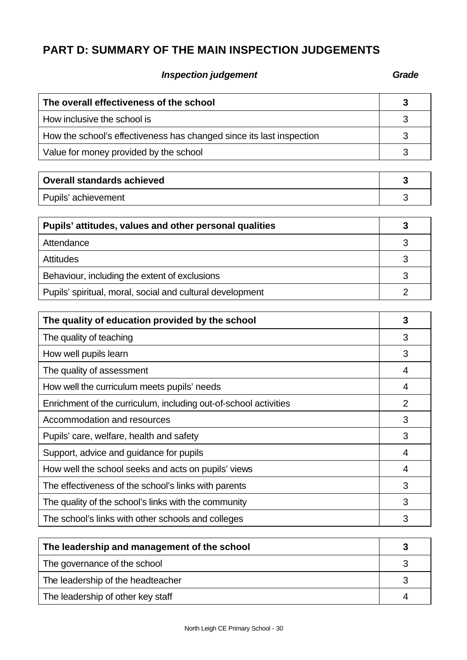# **PART D: SUMMARY OF THE MAIN INSPECTION JUDGEMENTS**

# **Inspection judgement Grade**

| The overall effectiveness of the school                              |  |
|----------------------------------------------------------------------|--|
| How inclusive the school is                                          |  |
| How the school's effectiveness has changed since its last inspection |  |
| Value for money provided by the school                               |  |

| <b>Overall standards achieved</b> |  |
|-----------------------------------|--|
| Pupils' achievement               |  |

| Pupils' attitudes, values and other personal qualities    |  |
|-----------------------------------------------------------|--|
| Attendance                                                |  |
| <b>Attitudes</b>                                          |  |
| Behaviour, including the extent of exclusions             |  |
| Pupils' spiritual, moral, social and cultural development |  |

| The quality of education provided by the school                  | 3 |
|------------------------------------------------------------------|---|
| The quality of teaching                                          | 3 |
| How well pupils learn                                            | 3 |
| The quality of assessment                                        | 4 |
| How well the curriculum meets pupils' needs                      | 4 |
| Enrichment of the curriculum, including out-of-school activities | 2 |
| Accommodation and resources                                      | 3 |
| Pupils' care, welfare, health and safety                         | 3 |
| Support, advice and guidance for pupils                          | 4 |
| How well the school seeks and acts on pupils' views              | 4 |
| The effectiveness of the school's links with parents             | 3 |
| The quality of the school's links with the community             | 3 |
| The school's links with other schools and colleges               | 3 |

| The leadership and management of the school |  |
|---------------------------------------------|--|
| The governance of the school                |  |
| The leadership of the headteacher           |  |
| The leadership of other key staff           |  |